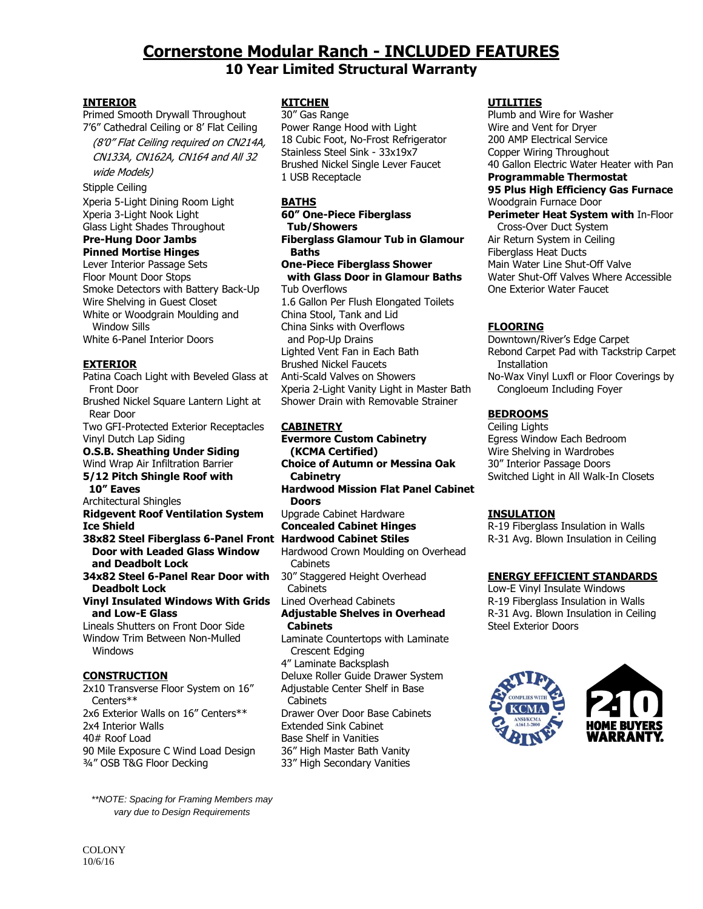# **Cornerstone Modular Ranch - INCLUDED FEATURES 10 Year Limited Structural Warranty**

#### **INTERIOR**

Primed Smooth Drywall Throughout 7'6" Cathedral Ceiling or 8' Flat Ceiling

 (8'0" Flat Ceiling required on CN214A, CN133A, CN162A, CN164 and All 32 wide Models)

Stipple Ceiling

Xperia 5-Light Dining Room Light Xperia 3-Light Nook Light Glass Light Shades Throughout

#### **Pre-Hung Door Jambs Pinned Mortise Hinges**

Lever Interior Passage Sets Floor Mount Door Stops Smoke Detectors with Battery Back-Up Wire Shelving in Guest Closet White or Woodgrain Moulding and Window Sills White 6-Panel Interior Doors

#### **EXTERIOR**

Patina Coach Light with Beveled Glass at Front Door Brushed Nickel Square Lantern Light at Rear Door Two GFI-Protected Exterior Receptacles Vinyl Dutch Lap Siding **O.S.B. Sheathing Under Siding** Wind Wrap Air Infiltration Barrier **5/12 Pitch Shingle Roof with 10" Eaves** Architectural Shingles **Ridgevent Roof Ventilation System Ice Shield 38x82 Steel Fiberglass 6-Panel Front Hardwood Cabinet Stiles Door with Leaded Glass Window and Deadbolt Lock 34x82 Steel 6-Panel Rear Door with Deadbolt Lock Vinyl Insulated Windows With Grids and Low-E Glass** Lineals Shutters on Front Door Side Window Trim Between Non-Mulled Windows **CONSTRUCTION** 2x10 Transverse Floor System on 16" Centers\*\*

2x6 Exterior Walls on 16" Centers\*\* 2x4 Interior Walls 40# Roof Load 90 Mile Exposure C Wind Load Design ¾" OSB T&G Floor Decking

*\*\*NOTE: Spacing for Framing Members may vary due to Design Requirements*

#### **KITCHEN**

30" Gas Range Power Range Hood with Light 18 Cubic Foot, No-Frost Refrigerator Stainless Steel Sink - 33x19x7 Brushed Nickel Single Lever Faucet 1 USB Receptacle

#### **BATHS**

**60" One-Piece Fiberglass Tub/Showers Fiberglass Glamour Tub in Glamour Baths One-Piece Fiberglass Shower with Glass Door in Glamour Baths** Tub Overflows 1.6 Gallon Per Flush Elongated Toilets China Stool, Tank and Lid China Sinks with Overflows and Pop-Up Drains Lighted Vent Fan in Each Bath Brushed Nickel Faucets Anti-Scald Valves on Showers Xperia 2-Light Vanity Light in Master Bath Shower Drain with Removable Strainer

#### **CABINETRY**

**Evermore Custom Cabinetry (KCMA Certified) Choice of Autumn or Messina Oak Cabinetry Hardwood Mission Flat Panel Cabinet Doors** Upgrade Cabinet Hardware **Concealed Cabinet Hinges** Hardwood Crown Moulding on Overhead **Cabinets** 30" Staggered Height Overhead **Cabinets** Lined Overhead Cabinets **Adjustable Shelves in Overhead Cabinets** Laminate Countertops with Laminate Crescent Edging 4" Laminate Backsplash Deluxe Roller Guide Drawer System Adjustable Center Shelf in Base **Cabinets** Drawer Over Door Base Cabinets Extended Sink Cabinet Base Shelf in Vanities 36" High Master Bath Vanity

33" High Secondary Vanities

#### **UTILITIES**

Plumb and Wire for Washer Wire and Vent for Dryer 200 AMP Electrical Service Copper Wiring Throughout 40 Gallon Electric Water Heater with Pan **Programmable Thermostat 95 Plus High Efficiency Gas Furnace** Woodgrain Furnace Door **Perimeter Heat System with** In-Floor Cross-Over Duct System Air Return System in Ceiling Fiberglass Heat Ducts Main Water Line Shut-Off Valve Water Shut-Off Valves Where Accessible

## **FLOORING**

One Exterior Water Faucet

Downtown/River's Edge Carpet Rebond Carpet Pad with Tackstrip Carpet **Installation** No-Wax Vinyl Luxfl or Floor Coverings by Congloeum Including Foyer

## **BEDROOMS**

Ceiling Lights Egress Window Each Bedroom Wire Shelving in Wardrobes 30" Interior Passage Doors Switched Light in All Walk-In Closets

## **INSULATION**

R-19 Fiberglass Insulation in Walls R-31 Avg. Blown Insulation in Ceiling

## **ENERGY EFFICIENT STANDARDS**

Low-E Vinyl Insulate Windows R-19 Fiberglass Insulation in Walls R-31 Avg. Blown Insulation in Ceiling Steel Exterior Doors